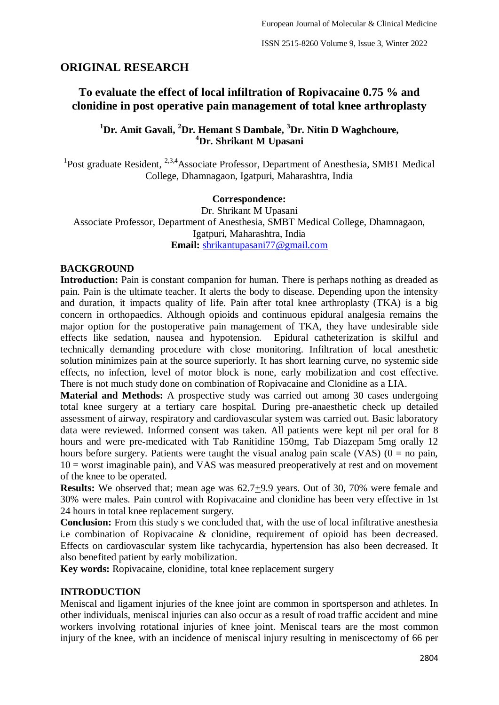# **ORIGINAL RESEARCH**

# **To evaluate the effect of local infiltration of Ropivacaine 0.75 % and clonidine in post operative pain management of total knee arthroplasty**

# **<sup>1</sup>Dr. Amit Gavali, <sup>2</sup>Dr. Hemant S Dambale, <sup>3</sup>Dr. Nitin D Waghchoure, <sup>4</sup>Dr. Shrikant M Upasani**

<sup>1</sup>Post graduate Resident, <sup>2,3,4</sup>Associate Professor, Department of Anesthesia, SMBT Medical College, Dhamnagaon, Igatpuri, Maharashtra, India

### **Correspondence:**

Dr. Shrikant M Upasani Associate Professor, Department of Anesthesia, SMBT Medical College, Dhamnagaon, Igatpuri, Maharashtra, India **Email:** [shrikantupasani77@gmail.com](mailto:shrikantupasani77@gmail.com)

## **BACKGROUND**

**Introduction:** Pain is constant companion for human. There is perhaps nothing as dreaded as pain. Pain is the ultimate teacher. It alerts the body to disease. Depending upon the intensity and duration, it impacts quality of life. Pain after total knee arthroplasty (TKA) is a big concern in orthopaedics. Although opioids and continuous epidural analgesia remains the major option for the postoperative pain management of TKA, they have undesirable side effects like sedation, nausea and hypotension. Epidural catheterization is skilful and technically demanding procedure with close monitoring. Infiltration of local anesthetic solution minimizes pain at the source superiorly. It has short learning curve, no systemic side effects, no infection, level of motor block is none, early mobilization and cost effective. There is not much study done on combination of Ropivacaine and Clonidine as a LIA.

**Material and Methods:** A prospective study was carried out among 30 cases undergoing total knee surgery at a tertiary care hospital. During pre-anaesthetic check up detailed assessment of airway, respiratory and cardiovascular system was carried out. Basic laboratory data were reviewed. Informed consent was taken. All patients were kept nil per oral for 8 hours and were pre-medicated with Tab Ranitidine 150mg, Tab Diazepam 5mg orally 12 hours before surgery. Patients were taught the visual analog pain scale (VAS) ( $0 =$  no pain,  $10 =$  worst imaginable pain), and VAS was measured preoperatively at rest and on movement of the knee to be operated.

**Results:** We observed that; mean age was 62.7+9.9 years. Out of 30, 70% were female and 30% were males. Pain control with Ropivacaine and clonidine has been very effective in 1st 24 hours in total knee replacement surgery.

**Conclusion:** From this study s we concluded that, with the use of local infiltrative anesthesia i.e combination of Ropivacaine & clonidine, requirement of opioid has been decreased. Effects on cardiovascular system like tachycardia, hypertension has also been decreased. It also benefited patient by early mobilization.

**Key words:** Ropivacaine, clonidine, total knee replacement surgery

# **INTRODUCTION**

Meniscal and ligament injuries of the knee joint are common in sportsperson and athletes. In other individuals, meniscal injuries can also occur as a result of road traffic accident and mine workers involving rotational injuries of knee joint. Meniscal tears are the most common injury of the knee, with an incidence of meniscal injury resulting in meniscectomy of 66 per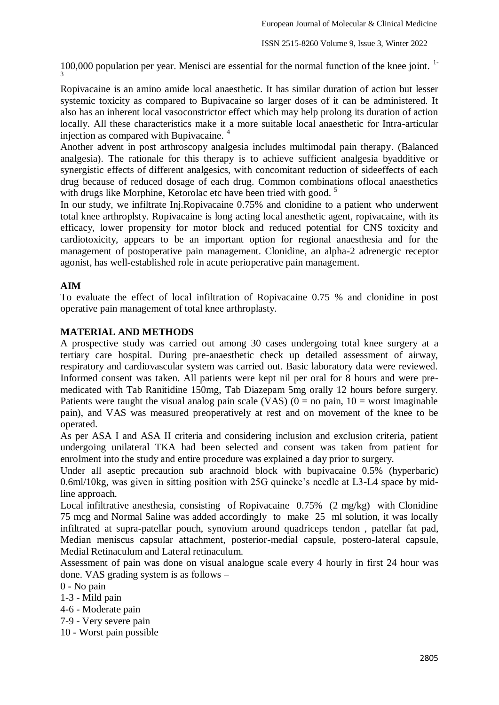100,000 population per year. Menisci are essential for the normal function of the knee joint.  $1$ -3

Ropivacaine is an amino amide local anaesthetic. It has similar duration of action but lesser systemic toxicity as compared to Bupivacaine so larger doses of it can be administered. It also has an inherent local vasoconstrictor effect which may help prolong its duration of action locally. All these characteristics make it a more suitable local anaesthetic for Intra-articular injection as compared with Bupivacaine.<sup>4</sup>

Another advent in post arthroscopy analgesia includes multimodal pain therapy. (Balanced analgesia). The rationale for this therapy is to achieve sufficient analgesia byadditive or synergistic effects of different analgesics, with concomitant reduction of sideeffects of each drug because of reduced dosage of each drug. Common combinations oflocal anaesthetics with drugs like Morphine, Ketorolac etc have been tried with good.<sup>5</sup>

In our study, we infiltrate Inj.Ropivacaine 0.75% and clonidine to a patient who underwent total knee arthroplsty. Ropivacaine is long acting local anesthetic agent, ropivacaine, with its efficacy, lower propensity for motor block and reduced potential for CNS toxicity and cardiotoxicity, appears to be an important option for regional anaesthesia and for the management of postoperative pain management. Clonidine, an alpha-2 adrenergic receptor agonist, has well-established role in acute perioperative pain management.

## **AIM**

To evaluate the effect of local infiltration of Ropivacaine 0.75 % and clonidine in post operative pain management of total knee arthroplasty.

### **MATERIAL AND METHODS**

A prospective study was carried out among 30 cases undergoing total knee surgery at a tertiary care hospital. During pre-anaesthetic check up detailed assessment of airway, respiratory and cardiovascular system was carried out. Basic laboratory data were reviewed. Informed consent was taken. All patients were kept nil per oral for 8 hours and were premedicated with Tab Ranitidine 150mg, Tab Diazepam 5mg orally 12 hours before surgery. Patients were taught the visual analog pain scale (VAS) ( $0 =$  no pain,  $10 =$  worst imaginable pain), and VAS was measured preoperatively at rest and on movement of the knee to be operated.

As per ASA I and ASA II criteria and considering inclusion and exclusion criteria, patient undergoing unilateral TKA had been selected and consent was taken from patient for enrolment into the study and entire procedure was explained a day prior to surgery.

Under all aseptic precaution sub arachnoid block with bupivacaine 0.5% (hyperbaric) 0.6ml/10kg, was given in sitting position with 25G quincke's needle at L3-L4 space by midline approach.

Local infiltrative anesthesia, consisting of Ropivacaine 0.75% (2 mg/kg) with Clonidine 75 mcg and Normal Saline was added accordingly to make 25 ml solution, it was locally infiltrated at supra-patellar pouch, synovium around quadriceps tendon , patellar fat pad, Median meniscus capsular attachment, posterior-medial capsule, postero-lateral capsule, Medial Retinaculum and Lateral retinaculum.

Assessment of pain was done on visual analogue scale every 4 hourly in first 24 hour was done. VAS grading system is as follows –

0 - No pain

1-3 - Mild pain

4-6 - Moderate pain

7-9 - Very severe pain

10 - Worst pain possible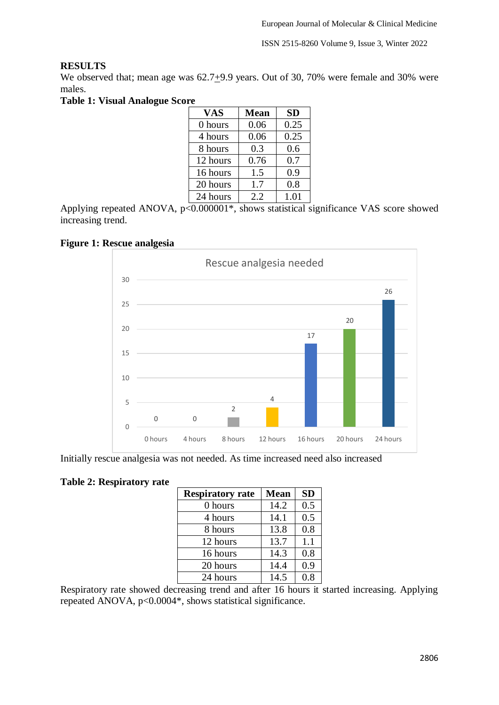# **RESULTS**

We observed that; mean age was  $62.7+9.9$  years. Out of 30, 70% were female and 30% were males.

**Table 1: Visual Analogue Score** 

| <b>VAS</b> | <b>Mean</b> | <b>SD</b> |
|------------|-------------|-----------|
| 0 hours    | 0.06        | 0.25      |
| 4 hours    | 0.06        | 0.25      |
| 8 hours    | 0.3         | 0.6       |
| 12 hours   | 0.76        | 0.7       |
| 16 hours   | 1.5         | 0.9       |
| 20 hours   | 1.7         | 0.8       |
| 24 hours   | 2.2         | 1.01      |

Applying repeated ANOVA, p<0.000001\*, shows statistical significance VAS score showed increasing trend.

# **Figure 1: Rescue analgesia**



Initially rescue analgesia was not needed. As time increased need also increased

# **Table 2: Respiratory rate**

| <b>Respiratory rate</b> | <b>Mean</b> | <b>SD</b> |
|-------------------------|-------------|-----------|
| 0 hours                 | 14.2        | 0.5       |
| 4 hours                 | 14.1        | 0.5       |
| 8 hours                 | 13.8        | 0.8       |
| 12 hours                | 13.7        | 1.1       |
| 16 hours                | 14.3        | 0.8       |
| 20 hours                | 14.4        | 0.9       |
| 24 hours                | 14.5        | 0.8       |

Respiratory rate showed decreasing trend and after 16 hours it started increasing. Applying repeated ANOVA, p<0.0004\*, shows statistical significance.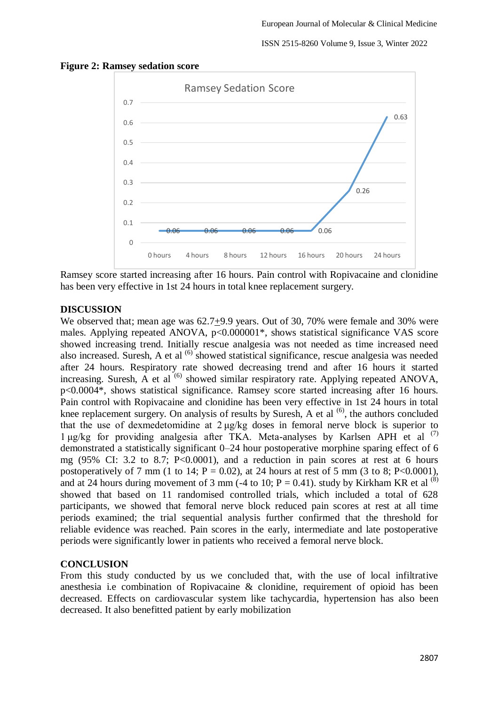#### ISSN 2515-8260 Volume 9, Issue 3, Winter 2022



#### **Figure 2: Ramsey sedation score**

Ramsey score started increasing after 16 hours. Pain control with Ropivacaine and clonidine has been very effective in 1st 24 hours in total knee replacement surgery.

## **DISCUSSION**

We observed that; mean age was  $62.7+9.9$  years. Out of 30, 70% were female and 30% were males. Applying repeated ANOVA, p<0.000001\*, shows statistical significance VAS score showed increasing trend. Initially rescue analgesia was not needed as time increased need also increased. Suresh, A et al <sup>(6)</sup> showed statistical significance, rescue analgesia was needed after 24 hours. Respiratory rate showed decreasing trend and after 16 hours it started increasing. Suresh,  $\overrightarrow{A}$  et al  $^{(6)}$  showed similar respiratory rate. Applying repeated ANOVA, p<0.0004\*, shows statistical significance. Ramsey score started increasing after 16 hours. Pain control with Ropivacaine and clonidine has been very effective in 1st 24 hours in total knee replacement surgery. On analysis of results by Suresh, A et al  $<sup>(6)</sup>$ , the authors concluded</sup> that the use of dexmedetomidine at 2 μg/kg doses in femoral nerve block is superior to 1 μg/kg for providing analgesia after TKA. Meta-analyses by Karlsen APH et al (7) demonstrated a statistically significant 0–24 hour postoperative morphine sparing effect of 6 mg  $(95\% \text{ CI: } 3.2 \text{ to } 8.7; \text{ P} < 0.0001)$ , and a reduction in pain scores at rest at 6 hours postoperatively of 7 mm (1 to 14;  $P = 0.02$ ), at 24 hours at rest of 5 mm (3 to 8; P<0.0001), and at 24 hours during movement of 3 mm (-4 to 10;  $P = 0.41$ ). study by Kirkham KR et al <sup>(8)</sup> showed that based on 11 randomised controlled trials, which included a total of 628 participants, we showed that femoral nerve block reduced pain scores at rest at all time periods examined; the trial sequential analysis further confirmed that the threshold for reliable evidence was reached. Pain scores in the early, intermediate and late postoperative periods were significantly lower in patients who received a femoral nerve block.

### **CONCLUSION**

From this study conducted by us we concluded that, with the use of local infiltrative anesthesia i.e combination of Ropivacaine & clonidine, requirement of opioid has been decreased. Effects on cardiovascular system like tachycardia, hypertension has also been decreased. It also benefitted patient by early mobilization